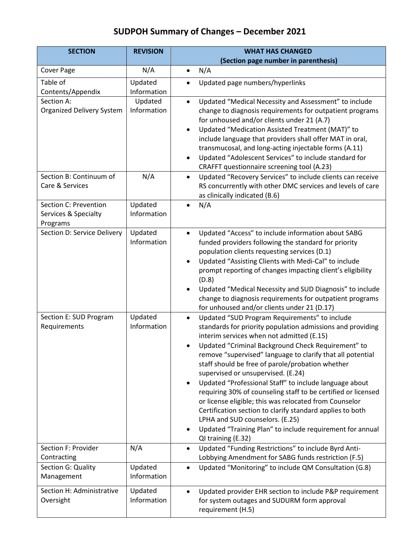## **SUDPOH Summary of Changes – December 2021**

| <b>SECTION</b>                                            | <b>REVISION</b>        | <b>WHAT HAS CHANGED</b>                                                                                                                                                                                                                                                                                                                                                                                                                                                                                                                                                                                                                                                                                                                                                            |
|-----------------------------------------------------------|------------------------|------------------------------------------------------------------------------------------------------------------------------------------------------------------------------------------------------------------------------------------------------------------------------------------------------------------------------------------------------------------------------------------------------------------------------------------------------------------------------------------------------------------------------------------------------------------------------------------------------------------------------------------------------------------------------------------------------------------------------------------------------------------------------------|
| Cover Page                                                | N/A                    | (Section page number in parenthesis)<br>N/A<br>$\bullet$                                                                                                                                                                                                                                                                                                                                                                                                                                                                                                                                                                                                                                                                                                                           |
| Table of<br>Contents/Appendix                             | Updated<br>Information | Updated page numbers/hyperlinks<br>$\bullet$                                                                                                                                                                                                                                                                                                                                                                                                                                                                                                                                                                                                                                                                                                                                       |
| Section A:<br>Organized Delivery System                   | Updated<br>Information | Updated "Medical Necessity and Assessment" to include<br>$\bullet$<br>change to diagnosis requirements for outpatient programs<br>for unhoused and/or clients under 21 (A.7)<br>Updated "Medication Assisted Treatment (MAT)" to<br>$\bullet$<br>include language that providers shall offer MAT in oral,<br>transmucosal, and long-acting injectable forms (A.11)<br>Updated "Adolescent Services" to include standard for<br>$\bullet$<br>CRAFFT questionnaire screening tool (A.23)                                                                                                                                                                                                                                                                                             |
| Section B: Continuum of<br>Care & Services                | N/A                    | Updated "Recovery Services" to include clients can receive<br>$\bullet$<br>RS concurrently with other DMC services and levels of care<br>as clinically indicated (B.6)                                                                                                                                                                                                                                                                                                                                                                                                                                                                                                                                                                                                             |
| Section C: Prevention<br>Services & Specialty<br>Programs | Updated<br>Information | N/A<br>$\bullet$                                                                                                                                                                                                                                                                                                                                                                                                                                                                                                                                                                                                                                                                                                                                                                   |
| Section D: Service Delivery                               | Updated<br>Information | Updated "Access" to include information about SABG<br>$\bullet$<br>funded providers following the standard for priority<br>population clients requesting services (D.1)<br>Updated "Assisting Clients with Medi-Cal" to include<br>$\bullet$<br>prompt reporting of changes impacting client's eligibility<br>(D.8)<br>Updated "Medical Necessity and SUD Diagnosis" to include<br>$\bullet$<br>change to diagnosis requirements for outpatient programs<br>for unhoused and/or clients under 21 (D.17)                                                                                                                                                                                                                                                                            |
| Section E: SUD Program<br>Requirements                    | Updated<br>Information | Updated "SUD Program Requirements" to include<br>$\bullet$<br>standards for priority population admissions and providing<br>interim services when not admitted (E.15)<br>Updated "Criminal Background Check Requirement" to<br>٠<br>remove "supervised" language to clarify that all potential<br>staff should be free of parole/probation whether<br>supervised or unsupervised. (E.24)<br>Updated "Professional Staff" to include language about<br>$\bullet$<br>requiring 30% of counseling staff to be certified or licensed<br>or license eligible; this was relocated from Counselor<br>Certification section to clarify standard applies to both<br>LPHA and SUD counselors. (E.25)<br>Updated "Training Plan" to include requirement for annual<br>٠<br>QI training (E.32) |
| Section F: Provider<br>Contracting                        | N/A                    | Updated "Funding Restrictions" to include Byrd Anti-<br>$\bullet$<br>Lobbying Amendment for SABG funds restriction (F.5)                                                                                                                                                                                                                                                                                                                                                                                                                                                                                                                                                                                                                                                           |
| Section G: Quality<br>Management                          | Updated<br>Information | Updated "Monitoring" to include QM Consultation (G.8)<br>$\bullet$                                                                                                                                                                                                                                                                                                                                                                                                                                                                                                                                                                                                                                                                                                                 |
| Section H: Administrative<br>Oversight                    | Updated<br>Information | Updated provider EHR section to include P&P requirement<br>$\bullet$<br>for system outages and SUDURM form approval<br>requirement (H.5)                                                                                                                                                                                                                                                                                                                                                                                                                                                                                                                                                                                                                                           |